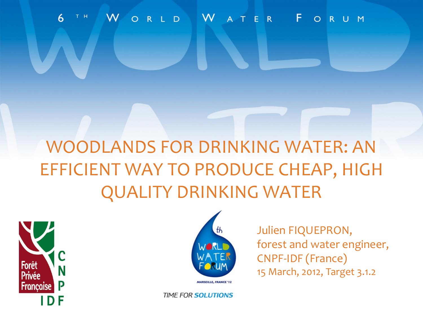#### ORLD WATER FORUM  $6\overline{6}$ T H

# WOODLANDS FOR DRINKING WATER: AN EFFICIENT WAY TO PRODUCE CHEAP, HIGH QUALITY DRINKING WATER





Julien FIQUEPRON, forest and water engineer, CNPF-IDF (France) 15 March, 2012, Target 3.1.2

**TIME FOR SOLUTIONS**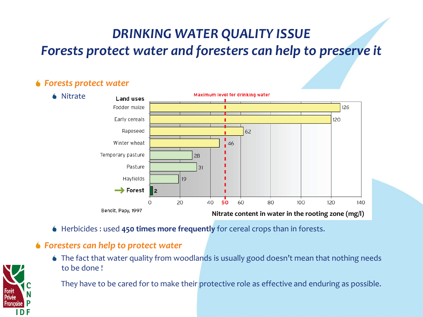## *DRINKING WATER QUALITY ISSUE Forests protect water and foresters can help to preserve it*

#### *Forests protect water*



Herbicides : used **450 times more frequently** for cereal crops than in forests.

#### *Foresters can help to protect water*

The fact that water quality from woodlands is usually good doesn't mean that nothing needs to be done !

They have to be cared for to make their protective role as effective and enduring as possible.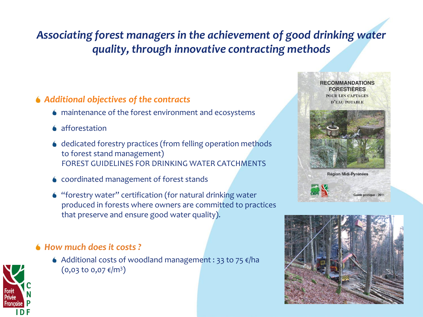### *Associating forest managers in the achievement of good drinking water quality, through innovative contracting methods*

### *Additional objectives of the contracts*

- maintenance of the forest environment and ecosystems
- **6** afforestation
- ♦ dedicated forestry practices (from felling operation methods to forest stand management) FOREST GUIDELINES FOR DRINKING WATER CATCHMENTS
- coordinated management of forest stands
- "forestry water" certification (for natural drinking water produced in forests where owners are committed to practices that preserve and ensure good water quality).

### *How much does it costs ?*

 $\bullet$  Additional costs of woodland management : 33 to 75  $\varepsilon$ /ha  $($ 0,03 to 0,07  $\varepsilon$ /m $^3)$ 

**RECOMMANDATIONS FORESTIERES POUR LES CAPTAGES** D'EAU POTABLE



**Région Midi-Pyrénées** 



Guide pratique - 2011



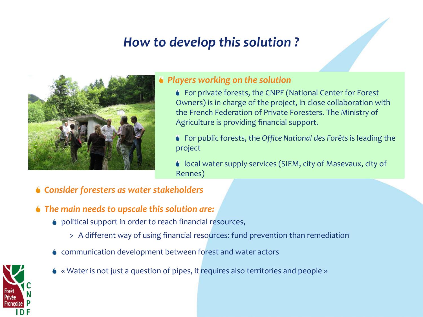## *How to develop this solution ?*



#### *Players working on the solution*

- For private forests, the CNPF (National Center for Forest Owners) is in charge of the project, in close collaboration with the French Federation of Private Foresters. The Ministry of Agriculture is providing financial support.
- For public forests, the *Office National des Forêts* is leading the project
- local water supply services (SIEM, city of Masevaux, city of Rennes)
- *Consider foresters as water stakeholders*
- *The main needs to upscale this solution are:*
	- political support in order to reach financial resources,
		- > A different way of using financial resources: fund prevention than remediation
	- communication development between forest and water actors



« Water is not just a question of pipes, it requires also territories and people »